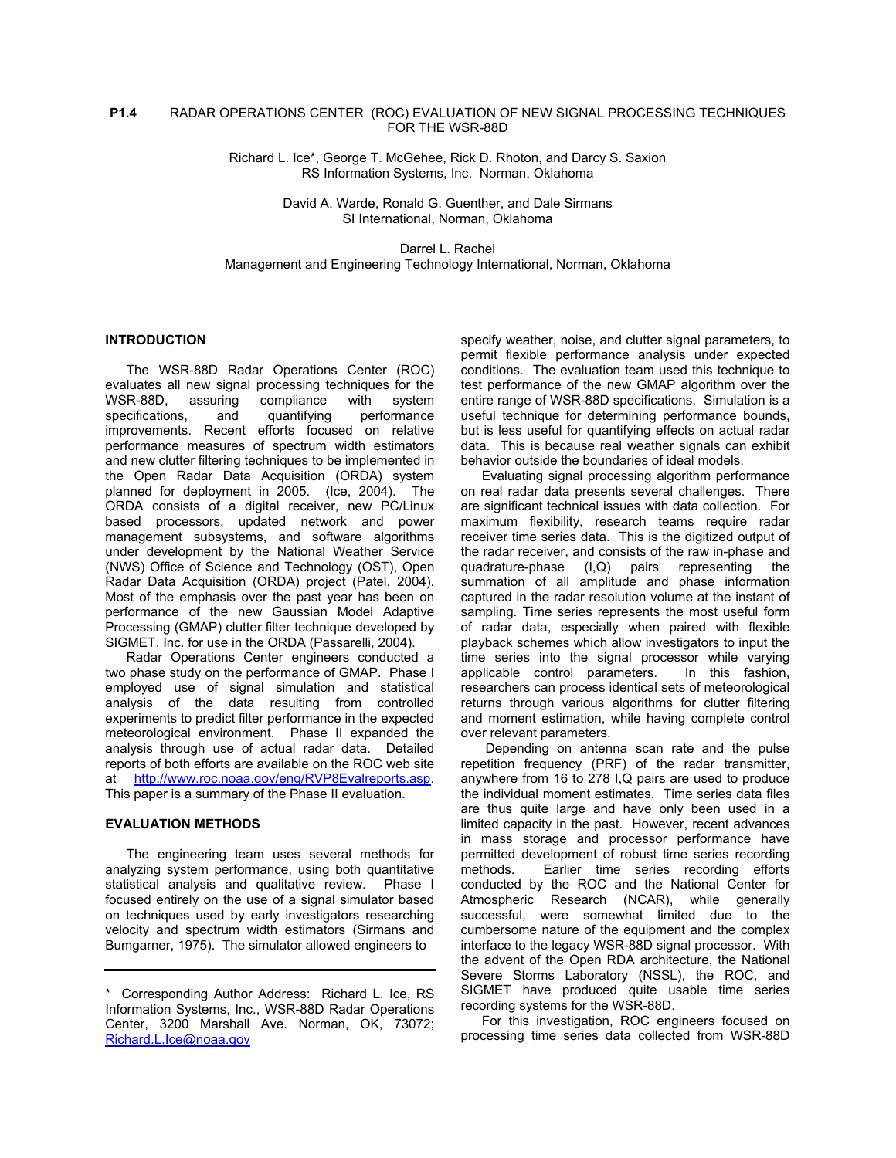# **P1.4** RADAR OPERATIONS CENTER (ROC) EVALUATION OF NEW SIGNAL PROCESSING TECHNIQUES FOR THE WSR-88D

Richard L. Ice\*, George T. McGehee, Rick D. Rhoton, and Darcy S. Saxion RS Information Systems, Inc. Norman, Oklahoma

> David A. Warde, Ronald G. Guenther, and Dale Sirmans SI International, Norman, Oklahoma

Darrel L. Rachel Management and Engineering Technology International, Norman, Oklahoma

### **INTRODUCTION**

The WSR-88D Radar Operations Center (ROC) evaluates all new signal processing techniques for the WSR-88D, assuring compliance with system specifications, and quantifying performance improvements. Recent efforts focused on relative performance measures of spectrum width estimators and new clutter filtering techniques to be implemented in the Open Radar Data Acquisition (ORDA) system planned for deployment in 2005. (Ice, 2004). The ORDA consists of a digital receiver, new PC/Linux based processors, updated network and power management subsystems, and software algorithms under development by the National Weather Service (NWS) Office of Science and Technology (OST), Open Radar Data Acquisition (ORDA) project (Patel, 2004). Most of the emphasis over the past year has been on performance of the new Gaussian Model Adaptive Processing (GMAP) clutter filter technique developed by SIGMET, Inc. for use in the ORDA (Passarelli, 2004).

Radar Operations Center engineers conducted a two phase study on the performance of GMAP. Phase I employed use of signal simulation and statistical analysis of the data resulting from controlled experiments to predict filter performance in the expected meteorological environment. Phase II expanded the analysis through use of actual radar data. Detailed reports of both efforts are available on the ROC web site at <http://www.roc.noaa.gov/eng/RVP8Evalreports.asp>. This paper is a summary of the Phase II evaluation.

#### **EVALUATION METHODS**

The engineering team uses several methods for analyzing system performance, using both quantitative statistical analysis and qualitative review. Phase I focused entirely on the use of a signal simulator based on techniques used by early investigators researching velocity and spectrum width estimators (Sirmans and Bumgarner, 1975). The simulator allowed engineers to

specify weather, noise, and clutter signal parameters, to permit flexible performance analysis under expected conditions. The evaluation team used this technique to test performance of the new GMAP algorithm over the entire range of WSR-88D specifications. Simulation is a useful technique for determining performance bounds, but is less useful for quantifying effects on actual radar data. This is because real weather signals can exhibit behavior outside the boundaries of ideal models.

Evaluating signal processing algorithm performance on real radar data presents several challenges. There are significant technical issues with data collection. For maximum flexibility, research teams require radar receiver time series data. This is the digitized output of the radar receiver, and consists of the raw in-phase and quadrature-phase (I,Q) pairs representing the summation of all amplitude and phase information captured in the radar resolution volume at the instant of sampling. Time series represents the most useful form of radar data, especially when paired with flexible playback schemes which allow investigators to input the time series into the signal processor while varying applicable control parameters. In this fashion, researchers can process identical sets of meteorological returns through various algorithms for clutter filtering and moment estimation, while having complete control over relevant parameters.

 Depending on antenna scan rate and the pulse repetition frequency (PRF) of the radar transmitter, anywhere from 16 to 278 I,Q pairs are used to produce the individual moment estimates. Time series data files are thus quite large and have only been used in a limited capacity in the past. However, recent advances in mass storage and processor performance have permitted development of robust time series recording methods. Earlier time series recording efforts conducted by the ROC and the National Center for Atmospheric Research (NCAR), while generally successful, were somewhat limited due to the cumbersome nature of the equipment and the complex interface to the legacy WSR-88D signal processor. With the advent of the Open RDA architecture, the National Severe Storms Laboratory (NSSL), the ROC, and SIGMET have produced quite usable time series recording systems for the WSR-88D.

For this investigation, ROC engineers focused on processing time series data collected from WSR-88D

<sup>\*</sup> Corresponding Author Address: Richard L. Ice, RS Information Systems, Inc., WSR-88D Radar Operations Center, 3200 Marshall Ave. Norman, OK, 73072; [Richard.L.Ice@noaa.gov](mailto:Richard.L.Ice@noaa.gov)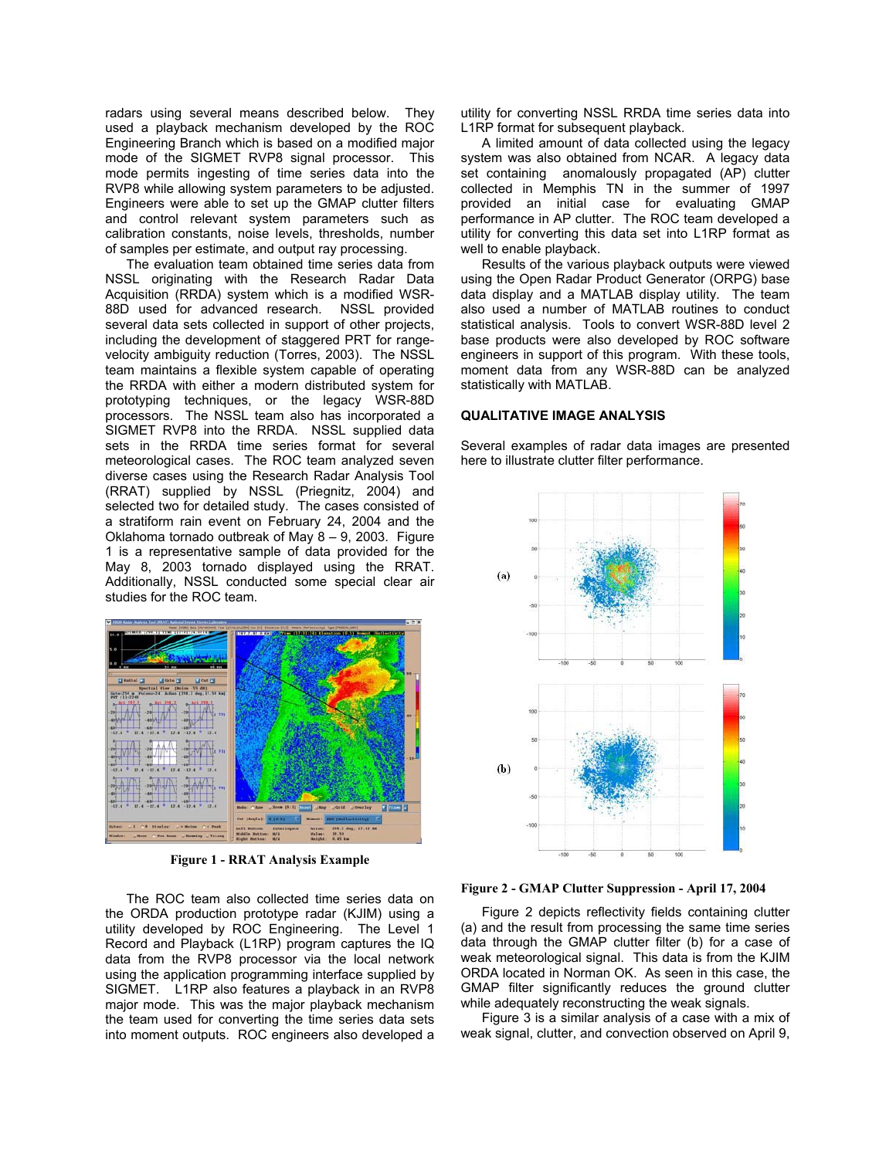radars using several means described below. They used a playback mechanism developed by the ROC Engineering Branch which is based on a modified major mode of the SIGMET RVP8 signal processor. This mode permits ingesting of time series data into the RVP8 while allowing system parameters to be adjusted. Engineers were able to set up the GMAP clutter filters and control relevant system parameters such as calibration constants, noise levels, thresholds, number of samples per estimate, and output ray processing.

The evaluation team obtained time series data from NSSL originating with the Research Radar Data Acquisition (RRDA) system which is a modified WSR-88D used for advanced research. NSSL provided several data sets collected in support of other projects. including the development of staggered PRT for rangevelocity ambiguity reduction (Torres, 2003). The NSSL team maintains a flexible system capable of operating the RRDA with either a modern distributed system for prototyping techniques, or the legacy WSR-88D processors. The NSSL team also has incorporated a SIGMET RVP8 into the RRDA. NSSL supplied data sets in the RRDA time series format for several meteorological cases. The ROC team analyzed seven diverse cases using the Research Radar Analysis Tool (RRAT) supplied by NSSL (Priegnitz, 2004) and selected two for detailed study. The cases consisted of a stratiform rain event on February 24, 2004 and the Oklahoma tornado outbreak of May 8 – 9, 2003. Figure 1 is a representative sample of data provided for the May 8, 2003 tornado displayed using the RRAT. Additionally, NSSL conducted some special clear air studies for the ROC team.



**Figure 1 - RRAT Analysis Example** 

The ROC team also collected time series data on the ORDA production prototype radar (KJIM) using a utility developed by ROC Engineering. The Level 1 Record and Playback (L1RP) program captures the IQ data from the RVP8 processor via the local network using the application programming interface supplied by SIGMET. L1RP also features a playback in an RVP8 major mode. This was the major playback mechanism the team used for converting the time series data sets into moment outputs. ROC engineers also developed a

utility for converting NSSL RRDA time series data into L1RP format for subsequent playback.

A limited amount of data collected using the legacy system was also obtained from NCAR. A legacy data set containing anomalously propagated (AP) clutter collected in Memphis TN in the summer of 1997 provided an initial case for evaluating GMAP performance in AP clutter. The ROC team developed a utility for converting this data set into L1RP format as well to enable playback.

Results of the various playback outputs were viewed using the Open Radar Product Generator (ORPG) base data display and a MATLAB display utility. The team also used a number of MATLAB routines to conduct statistical analysis. Tools to convert WSR-88D level 2 base products were also developed by ROC software engineers in support of this program. With these tools, moment data from any WSR-88D can be analyzed statistically with MATLAB.

#### **QUALITATIVE IMAGE ANALYSIS**

Several examples of radar data images are presented here to illustrate clutter filter performance.



**Figure 2 - GMAP Clutter Suppression - April 17, 2004** 

Figure 2 depicts reflectivity fields containing clutter (a) and the result from processing the same time series data through the GMAP clutter filter (b) for a case of weak meteorological signal. This data is from the KJIM ORDA located in Norman OK. As seen in this case, the GMAP filter significantly reduces the ground clutter while adequately reconstructing the weak signals.

Figure 3 is a similar analysis of a case with a mix of weak signal, clutter, and convection observed on April 9,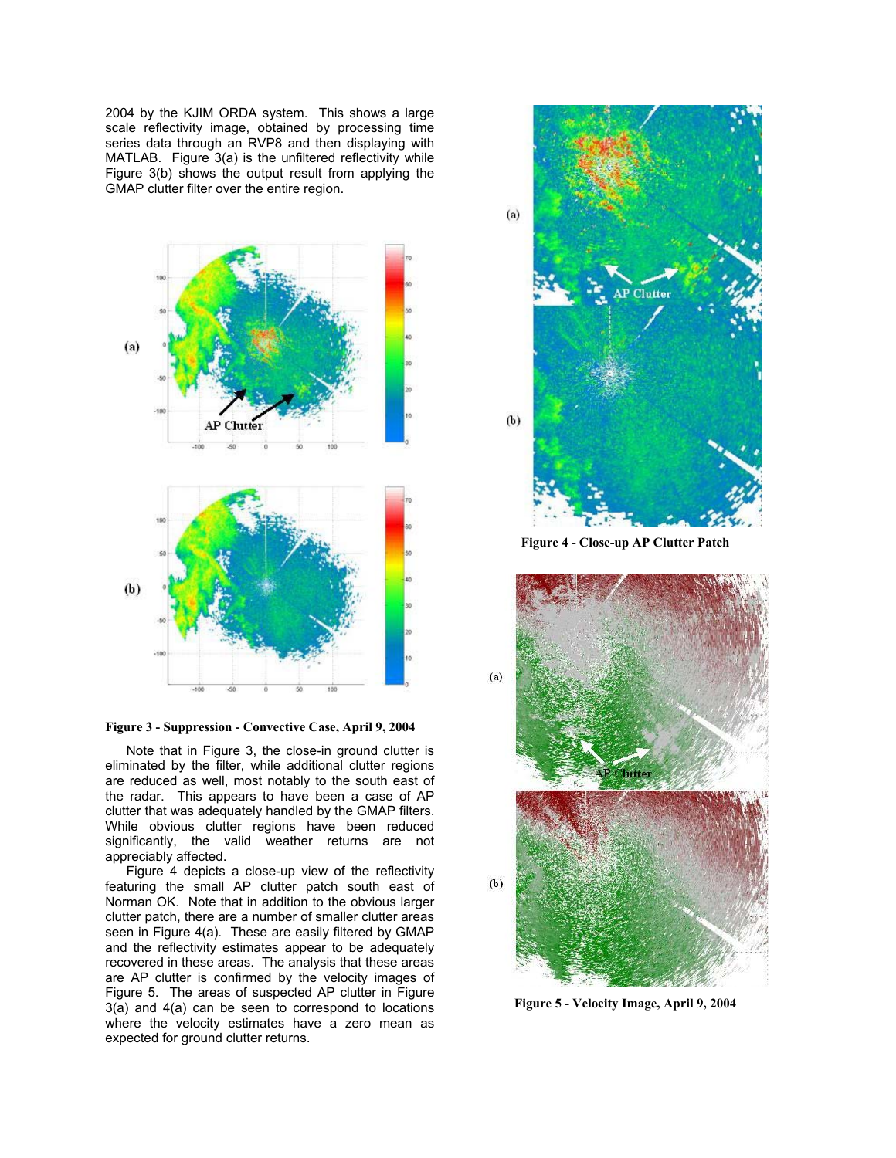2004 by the KJIM ORDA system. This shows a large scale reflectivity image, obtained by processing time series data through an RVP8 and then displaying with MATLAB. Figure 3(a) is the unfiltered reflectivity while Figure 3(b) shows the output result from applying the GMAP clutter filter over the entire region.



**Figure 3 - Suppression - Convective Case, April 9, 2004** 

Note that in Figure 3, the close-in ground clutter is eliminated by the filter, while additional clutter regions are reduced as well, most notably to the south east of the radar. This appears to have been a case of AP clutter that was adequately handled by the GMAP filters. While obvious clutter regions have been reduced significantly, the valid weather returns are not appreciably affected.

Figure 4 depicts a close-up view of the reflectivity featuring the small AP clutter patch south east of Norman OK. Note that in addition to the obvious larger clutter patch, there are a number of smaller clutter areas seen in Figure 4(a). These are easily filtered by GMAP and the reflectivity estimates appear to be adequately recovered in these areas. The analysis that these areas are AP clutter is confirmed by the velocity images of Figure 5. The areas of suspected AP clutter in Figure 3(a) and 4(a) can be seen to correspond to locations where the velocity estimates have a zero mean as expected for ground clutter returns.



**Figure 4 - Close-up AP Clutter Patch** 



**Figure 5 - Velocity Image, April 9, 2004**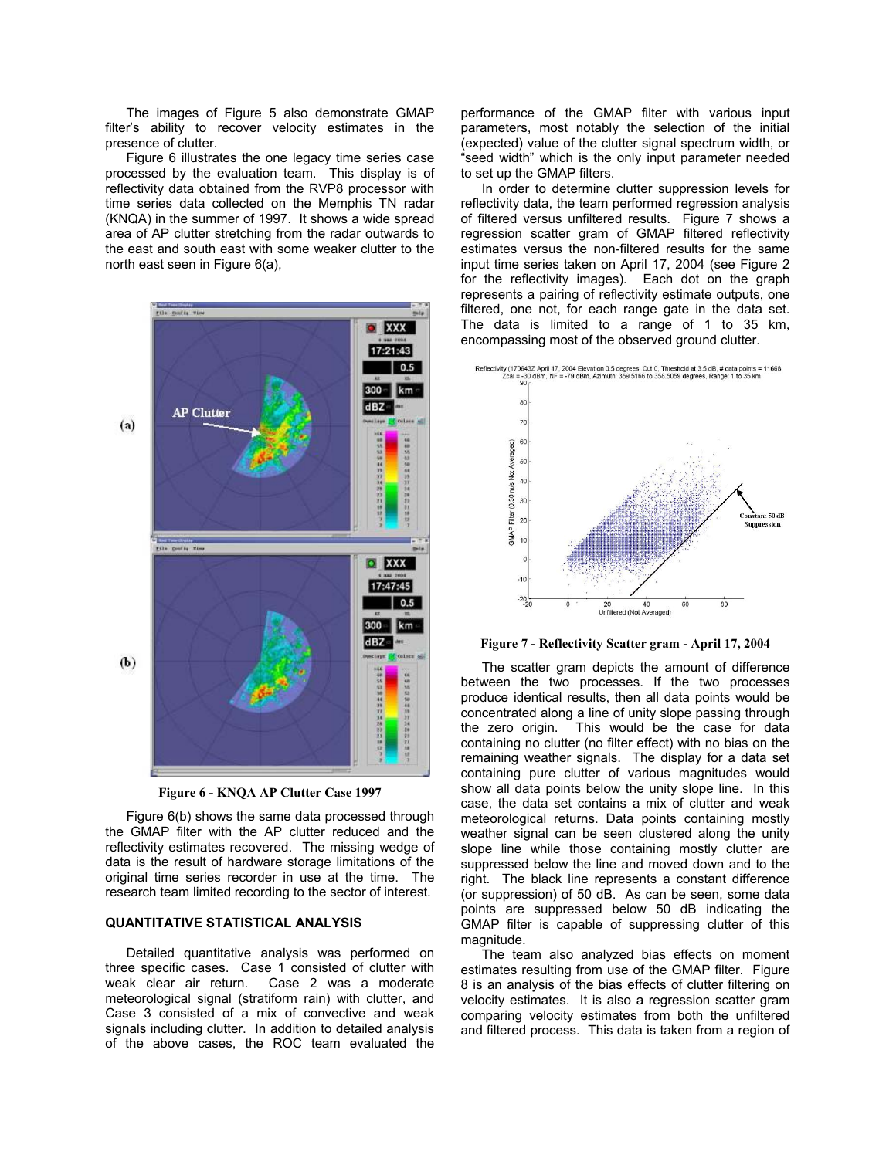The images of Figure 5 also demonstrate GMAP filter's ability to recover velocity estimates in the presence of clutter.

Figure 6 illustrates the one legacy time series case processed by the evaluation team. This display is of reflectivity data obtained from the RVP8 processor with time series data collected on the Memphis TN radar (KNQA) in the summer of 1997. It shows a wide spread area of AP clutter stretching from the radar outwards to the east and south east with some weaker clutter to the north east seen in Figure 6(a),





Figure 6(b) shows the same data processed through the GMAP filter with the AP clutter reduced and the reflectivity estimates recovered. The missing wedge of data is the result of hardware storage limitations of the original time series recorder in use at the time. The research team limited recording to the sector of interest.

#### **QUANTITATIVE STATISTICAL ANALYSIS**

Detailed quantitative analysis was performed on three specific cases. Case 1 consisted of clutter with weak clear air return. Case 2 was a moderate meteorological signal (stratiform rain) with clutter, and Case 3 consisted of a mix of convective and weak signals including clutter. In addition to detailed analysis of the above cases, the ROC team evaluated the

performance of the GMAP filter with various input parameters, most notably the selection of the initial (expected) value of the clutter signal spectrum width, or "seed width" which is the only input parameter needed to set up the GMAP filters.

In order to determine clutter suppression levels for reflectivity data, the team performed regression analysis of filtered versus unfiltered results. Figure 7 shows a regression scatter gram of GMAP filtered reflectivity estimates versus the non-filtered results for the same input time series taken on April 17, 2004 (see Figure 2 for the reflectivity images). Each dot on the graph represents a pairing of reflectivity estimate outputs, one filtered, one not, for each range gate in the data set. The data is limited to a range of 1 to 35 km, encompassing most of the observed ground clutter.



**Figure 7 - Reflectivity Scatter gram - April 17, 2004** 

The scatter gram depicts the amount of difference between the two processes. If the two processes produce identical results, then all data points would be concentrated along a line of unity slope passing through the zero origin. This would be the case for data containing no clutter (no filter effect) with no bias on the remaining weather signals. The display for a data set containing pure clutter of various magnitudes would show all data points below the unity slope line. In this case, the data set contains a mix of clutter and weak meteorological returns. Data points containing mostly weather signal can be seen clustered along the unity slope line while those containing mostly clutter are suppressed below the line and moved down and to the right. The black line represents a constant difference (or suppression) of 50 dB. As can be seen, some data points are suppressed below 50 dB indicating the GMAP filter is capable of suppressing clutter of this magnitude.

The team also analyzed bias effects on moment estimates resulting from use of the GMAP filter. Figure 8 is an analysis of the bias effects of clutter filtering on velocity estimates. It is also a regression scatter gram comparing velocity estimates from both the unfiltered and filtered process. This data is taken from a region of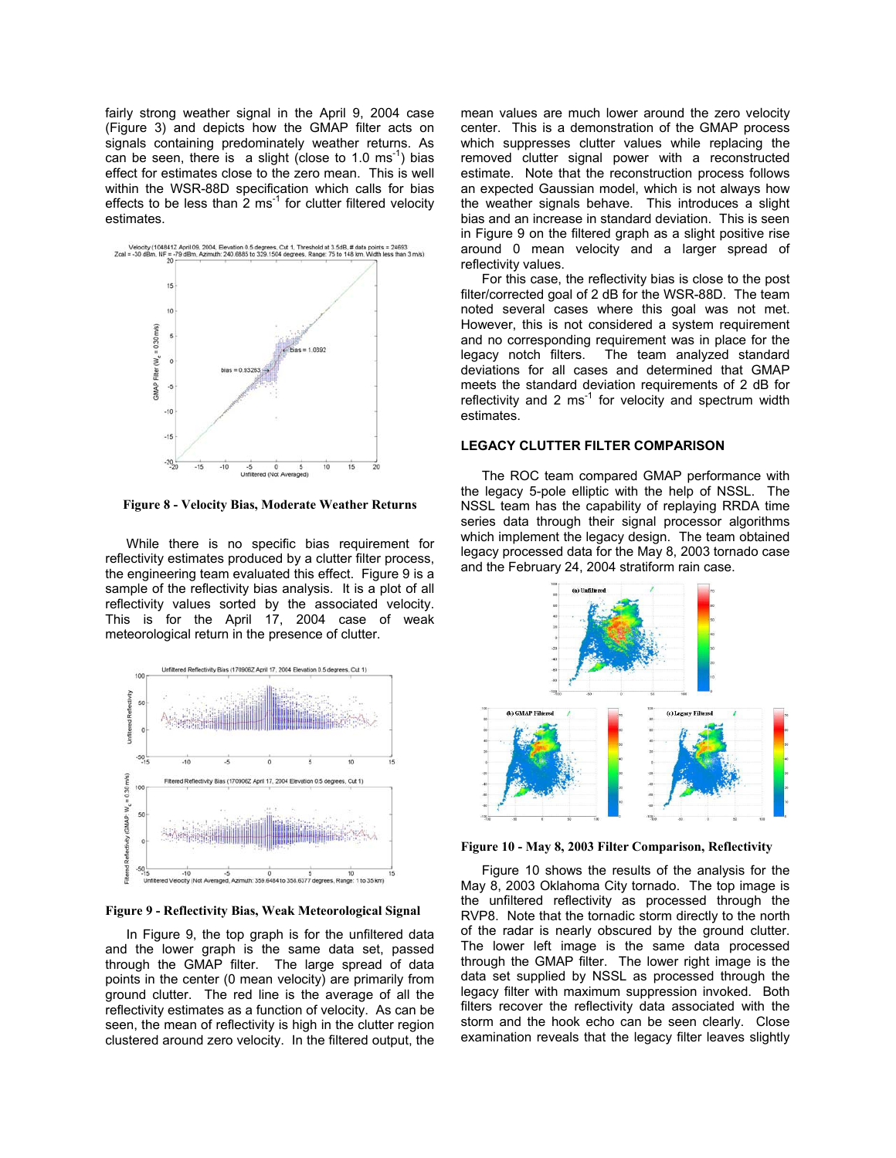fairly strong weather signal in the April 9, 2004 case (Figure 3) and depicts how the GMAP filter acts on signals containing predominately weather returns. As can be seen, there is a slight (close to 1.0  $\text{ms}^{-1}$ ) bias effect for estimates close to the zero mean. This is well within the WSR-88D specification which calls for bias effects to be less than  $2 \text{ ms}^{-1}$  for clutter filtered velocity estimates.



**Figure 8 - Velocity Bias, Moderate Weather Returns**

While there is no specific bias requirement for reflectivity estimates produced by a clutter filter process, the engineering team evaluated this effect. Figure 9 is a sample of the reflectivity bias analysis. It is a plot of all reflectivity values sorted by the associated velocity. This is for the April 17, 2004 case of weak meteorological return in the presence of clutter.



**Figure 9 - Reflectivity Bias, Weak Meteorological Signal**

In Figure 9, the top graph is for the unfiltered data and the lower graph is the same data set, passed through the GMAP filter. The large spread of data points in the center (0 mean velocity) are primarily from ground clutter. The red line is the average of all the reflectivity estimates as a function of velocity. As can be seen, the mean of reflectivity is high in the clutter region clustered around zero velocity. In the filtered output, the mean values are much lower around the zero velocity center. This is a demonstration of the GMAP process which suppresses clutter values while replacing the removed clutter signal power with a reconstructed estimate. Note that the reconstruction process follows an expected Gaussian model, which is not always how the weather signals behave. This introduces a slight bias and an increase in standard deviation. This is seen in Figure 9 on the filtered graph as a slight positive rise around 0 mean velocity and a larger spread of reflectivity values.

For this case, the reflectivity bias is close to the post filter/corrected goal of 2 dB for the WSR-88D. The team noted several cases where this goal was not met. However, this is not considered a system requirement and no corresponding requirement was in place for the legacy notch filters. The team analyzed standard deviations for all cases and determined that GMAP meets the standard deviation requirements of 2 dB for reflectivity and 2  $ms^{-1}$  for velocity and spectrum width estimates.

# **LEGACY CLUTTER FILTER COMPARISON**

The ROC team compared GMAP performance with the legacy 5-pole elliptic with the help of NSSL. The NSSL team has the capability of replaying RRDA time series data through their signal processor algorithms which implement the legacy design. The team obtained legacy processed data for the May 8, 2003 tornado case and the February 24, 2004 stratiform rain case.



**Figure 10 - May 8, 2003 Filter Comparison, Reflectivity**

Figure 10 shows the results of the analysis for the May 8, 2003 Oklahoma City tornado. The top image is the unfiltered reflectivity as processed through the RVP8. Note that the tornadic storm directly to the north of the radar is nearly obscured by the ground clutter. The lower left image is the same data processed through the GMAP filter. The lower right image is the data set supplied by NSSL as processed through the legacy filter with maximum suppression invoked. Both filters recover the reflectivity data associated with the storm and the hook echo can be seen clearly. Close examination reveals that the legacy filter leaves slightly